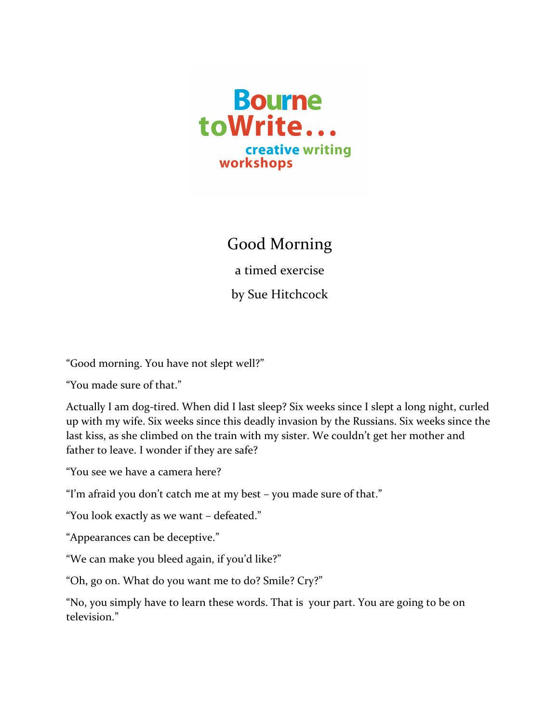

## Good Morning

a timed exercise

by Sue Hitchcock

"Good morning. You have not slept well?"

"You made sure of that."

Actually I am dog-tired. When did I last sleep? Six weeks since I slept a long night, curled up with my wife. Six weeks since this deadly invasion by the Russians. Six weeks since the last kiss, as she climbed on the train with my sister. We couldn't get her mother and father to leave. I wonder if they are safe?

"You see we have a camera here?

"I'm afraid you don't catch me at my best - you made sure of that."

"You look exactly as we want - defeated."

"Appearances can be deceptive."

"We can make you bleed again, if you'd like?"

"Oh, go on. What do you want me to do? Smile? Cry?"

"No, you simply have to learn these words. That is your part. You are going to be on television."